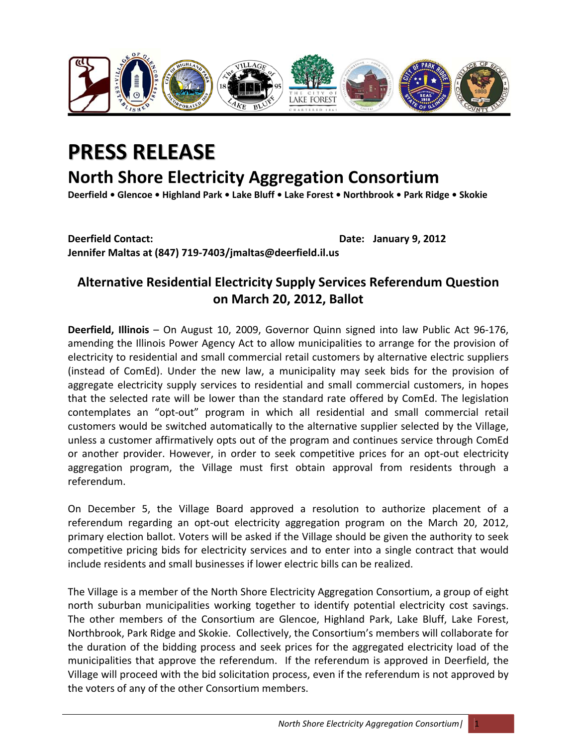

## **PRESS RELEASE**

## **North Shore Electricity Aggregation Consortium**

Deerfield . Glencoe . Highland Park . Lake Bluff . Lake Forest . Northbrook . Park Ridge . Skokie

**Deerfield Contact: Date: January 9, 2012 Jennifer Maltas at (847) 719‐7403/jmaltas@deerfield.il.us**

## **Alternative Residential Electricity Supply Services Referendum Question on March 20, 2012, Ballot**

**Deerfield, Illinois** – On August 10, 2009, Governor Quinn signed into law Public Act 96‐176, amending the Illinois Power Agency Act to allow municipalities to arrange for the provision of electricity to residential and small commercial retail customers by alternative electric suppliers (instead of ComEd). Under the new law, a municipality may seek bids for the provision of aggregate electricity supply services to residential and small commercial customers, in hopes that the selected rate will be lower than the standard rate offered by ComEd. The legislation contemplates an "opt‐out" program in which all residential and small commercial retail customers would be switched automatically to the alternative supplier selected by the Village, unless a customer affirmatively opts out of the program and continues service through ComEd or another provider. However, in order to seek competitive prices for an opt-out electricity aggregation program, the Village must first obtain approval from residents through a referendum.

On December 5, the Village Board approved a resolution to authorize placement of a referendum regarding an opt-out electricity aggregation program on the March 20, 2012, primary election ballot. Voters will be asked if the Village should be given the authority to seek competitive pricing bids for electricity services and to enter into a single contract that would include residents and small businesses if lower electric bills can be realized.

The Village is a member of the North Shore Electricity Aggregation Consortium, a group of eight north suburban municipalities working together to identify potential electricity cost savings. The other members of the Consortium are Glencoe, Highland Park, Lake Bluff, Lake Forest, Northbrook, Park Ridge and Skokie. Collectively, the Consortium's members will collaborate for the duration of the bidding process and seek prices for the aggregated electricity load of the municipalities that approve the referendum. If the referendum is approved in Deerfield, the Village will proceed with the bid solicitation process, even if the referendum is not approved by the voters of any of the other Consortium members.